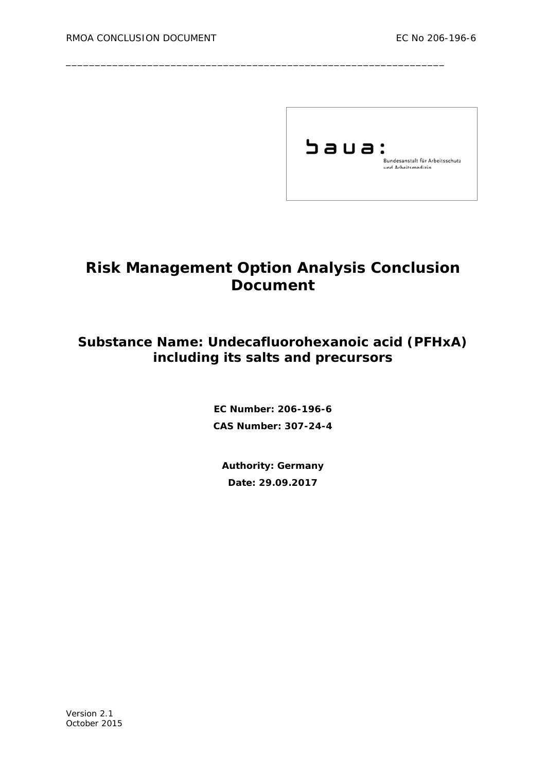

# **Risk Management Option Analysis Conclusion Document**

\_\_\_\_\_\_\_\_\_\_\_\_\_\_\_\_\_\_\_\_\_\_\_\_\_\_\_\_\_\_\_\_\_\_\_\_\_\_\_\_\_\_\_\_\_\_\_\_\_\_\_\_\_\_\_\_\_\_\_\_\_\_\_\_\_

## **Substance Name: Undecafluorohexanoic acid (PFHxA) including its salts and precursors**

**EC Number: 206-196-6 CAS Number: 307-24-4**

**Authority: Germany Date: 29.09.2017**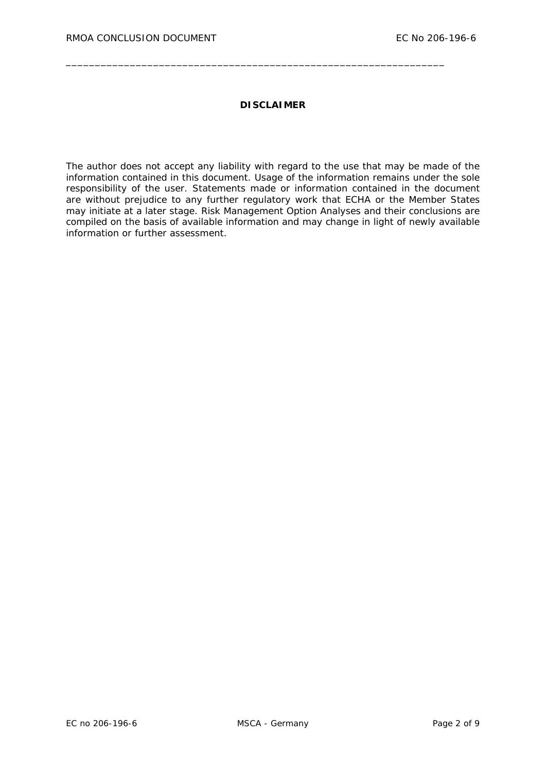#### **DISCLAIMER**

\_\_\_\_\_\_\_\_\_\_\_\_\_\_\_\_\_\_\_\_\_\_\_\_\_\_\_\_\_\_\_\_\_\_\_\_\_\_\_\_\_\_\_\_\_\_\_\_\_\_\_\_\_\_\_\_\_\_\_\_\_\_\_\_\_

The author does not accept any liability with regard to the use that may be made of the information contained in this document. Usage of the information remains under the sole responsibility of the user. Statements made or information contained in the document are without prejudice to any further regulatory work that ECHA or the Member States may initiate at a later stage. Risk Management Option Analyses and their conclusions are compiled on the basis of available information and may change in light of newly available information or further assessment.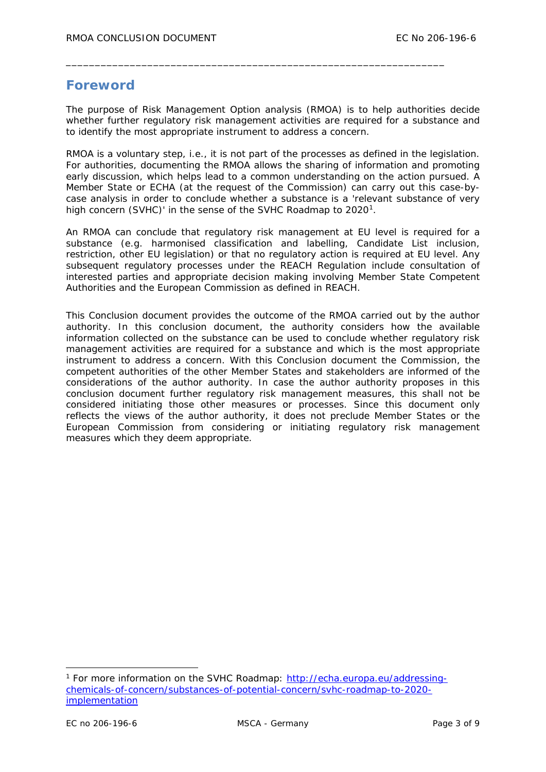## **Foreword**

The purpose of Risk Management Option analysis (RMOA) is to help authorities decide whether further regulatory risk management activities are required for a substance and to identify the most appropriate instrument to address a concern.

\_\_\_\_\_\_\_\_\_\_\_\_\_\_\_\_\_\_\_\_\_\_\_\_\_\_\_\_\_\_\_\_\_\_\_\_\_\_\_\_\_\_\_\_\_\_\_\_\_\_\_\_\_\_\_\_\_\_\_\_\_\_\_\_\_

RMOA is a voluntary step, i.e., it is not part of the processes as defined in the legislation. For authorities, documenting the RMOA allows the sharing of information and promoting early discussion, which helps lead to a common understanding on the action pursued. A Member State or ECHA (at the request of the Commission) can carry out this case-bycase analysis in order to conclude whether a substance is a 'relevant substance of very high concern (SVHC)' in the sense of the SVHC Roadmap to 2020<sup>1</sup>.

An RMOA can conclude that regulatory risk management at EU level is required for a substance (e.g. harmonised classification and labelling, Candidate List inclusion, restriction, other EU legislation) or that no regulatory action is required at EU level. Any subsequent regulatory processes under the REACH Regulation include consultation of interested parties and appropriate decision making involving Member State Competent Authorities and the European Commission as defined in REACH.

This Conclusion document provides the outcome of the RMOA carried out by the author authority. In this conclusion document, the authority considers how the available information collected on the substance can be used to conclude whether regulatory risk management activities are required for a substance and which is the most appropriate instrument to address a concern. With this Conclusion document the Commission, the competent authorities of the other Member States and stakeholders are informed of the considerations of the author authority. In case the author authority proposes in this conclusion document further regulatory risk management measures, this shall not be considered initiating those other measures or processes. Since this document only reflects the views of the author authority, it does not preclude Member States or the European Commission from considering or initiating regulatory risk management measures which they deem appropriate.

-

<span id="page-2-0"></span><sup>1</sup> For more information on the SVHC Roadmap: [http://echa.europa.eu/addressing](http://echa.europa.eu/addressing-chemicals-of-concern/substances-of-potential-concern/svhc-roadmap-to-2020-implementation)[chemicals-of-concern/substances-of-potential-concern/svhc-roadmap-to-2020](http://echa.europa.eu/addressing-chemicals-of-concern/substances-of-potential-concern/svhc-roadmap-to-2020-implementation) [implementation](http://echa.europa.eu/addressing-chemicals-of-concern/substances-of-potential-concern/svhc-roadmap-to-2020-implementation)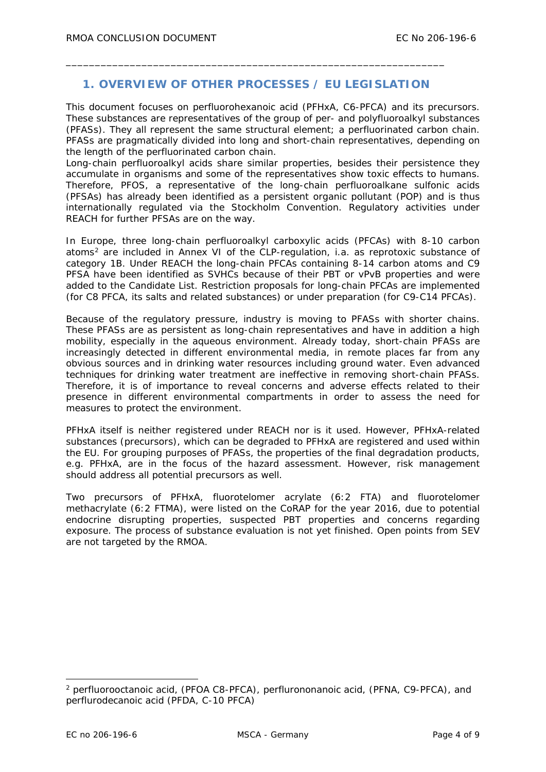## **1. OVERVIEW OF OTHER PROCESSES / EU LEGISLATION**

\_\_\_\_\_\_\_\_\_\_\_\_\_\_\_\_\_\_\_\_\_\_\_\_\_\_\_\_\_\_\_\_\_\_\_\_\_\_\_\_\_\_\_\_\_\_\_\_\_\_\_\_\_\_\_\_\_\_\_\_\_\_\_\_\_

This document focuses on perfluorohexanoic acid (PFHxA, C6-PFCA) and its precursors. These substances are representatives of the group of per- and polyfluoroalkyl substances (PFASs). They all represent the same structural element; a perfluorinated carbon chain. PFASs are pragmatically divided into long and short-chain representatives, depending on the length of the perfluorinated carbon chain.

Long-chain perfluoroalkyl acids share similar properties, besides their persistence they accumulate in organisms and some of the representatives show toxic effects to humans. Therefore, PFOS, a representative of the long-chain perfluoroalkane sulfonic acids (PFSAs) has already been identified as a persistent organic pollutant (POP) and is thus internationally regulated via the Stockholm Convention. Regulatory activities under REACH for further PFSAs are on the way.

In Europe, three long-chain perfluoroalkyl carboxylic acids (PFCAs) with 8-10 carbon atoms[2](#page-3-0) are included in Annex VI of the CLP-regulation, i.a. as reprotoxic substance of category 1B. Under REACH the long-chain PFCAs containing 8-14 carbon atoms and C9 PFSA have been identified as SVHCs because of their PBT or vPvB properties and were added to the Candidate List. Restriction proposals for long-chain PFCAs are implemented (for C8 PFCA, its salts and related substances) or under preparation (for C9-C14 PFCAs).

Because of the regulatory pressure, industry is moving to PFASs with shorter chains. These PFASs are as persistent as long-chain representatives and have in addition a high mobility, especially in the aqueous environment. Already today, short-chain PFASs are increasingly detected in different environmental media, in remote places far from any obvious sources and in drinking water resources including ground water. Even advanced techniques for drinking water treatment are ineffective in removing short-chain PFASs. Therefore, it is of importance to reveal concerns and adverse effects related to their presence in different environmental compartments in order to assess the need for measures to protect the environment.

PFHxA itself is neither registered under REACH nor is it used. However, PFHxA-related substances (precursors), which can be degraded to PFHxA are registered and used within the EU. For grouping purposes of PFASs, the properties of the final degradation products, e.g. PFHxA, are in the focus of the hazard assessment. However, risk management should address all potential precursors as well.

Two precursors of PFHxA, fluorotelomer acrylate (6:2 FTA) and fluorotelomer methacrylate (6:2 FTMA), were listed on the CoRAP for the year 2016, due to potential endocrine disrupting properties, suspected PBT properties and concerns regarding exposure. The process of substance evaluation is not yet finished. Open points from SEV are not targeted by the RMOA.

-

<span id="page-3-0"></span><sup>2</sup> *perfluorooctanoic acid, (PFOA C8-PFCA), perflurononanoic acid, (PFNA, C9-PFCA), and perflurodecanoic acid (PFDA, C-10 PFCA)*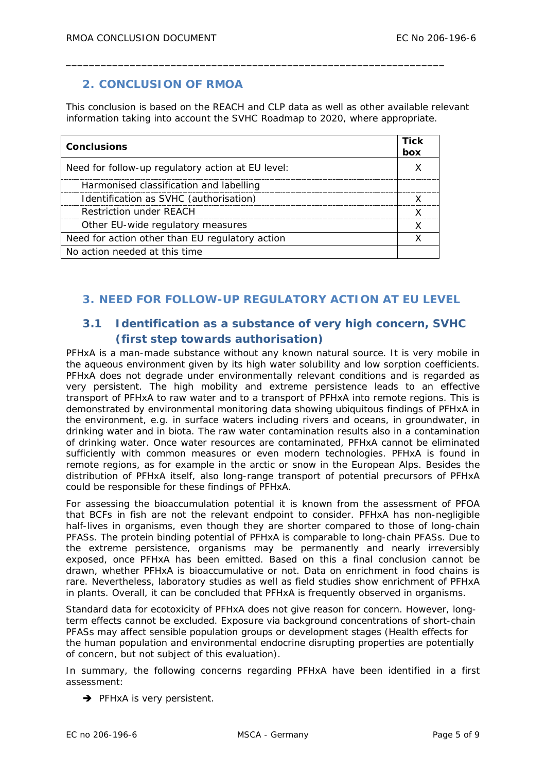## **2. CONCLUSION OF RMOA**

This conclusion is based on the REACH and CLP data as well as other available relevant information taking into account the SVHC Roadmap to 2020, where appropriate.

\_\_\_\_\_\_\_\_\_\_\_\_\_\_\_\_\_\_\_\_\_\_\_\_\_\_\_\_\_\_\_\_\_\_\_\_\_\_\_\_\_\_\_\_\_\_\_\_\_\_\_\_\_\_\_\_\_\_\_\_\_\_\_\_\_

| <b>Conclusions</b>                                | <b>Tick</b><br>box |
|---------------------------------------------------|--------------------|
| Need for follow-up regulatory action at EU level: |                    |
| Harmonised classification and labelling           |                    |
| Identification as SVHC (authorisation)            |                    |
| <b>Restriction under REACH</b>                    |                    |
| Other EU-wide regulatory measures                 |                    |
| Need for action other than EU regulatory action   |                    |
| No action needed at this time.                    |                    |

## **3. NEED FOR FOLLOW-UP REGULATORY ACTION AT EU LEVEL**

## **3.1 Identification as a substance of very high concern, SVHC (first step towards authorisation)**

PFHxA is a man-made substance without any known natural source. It is very mobile in the aqueous environment given by its high water solubility and low sorption coefficients. PFHxA does not degrade under environmentally relevant conditions and is regarded as very persistent. The high mobility and extreme persistence leads to an effective transport of PFHxA to raw water and to a transport of PFHxA into remote regions. This is demonstrated by environmental monitoring data showing ubiquitous findings of PFHxA in the environment, e.g. in surface waters including rivers and oceans, in groundwater, in drinking water and in biota. The raw water contamination results also in a contamination of drinking water. Once water resources are contaminated, PFHxA cannot be eliminated sufficiently with common measures or even modern technologies. PFHxA is found in remote regions, as for example in the arctic or snow in the European Alps. Besides the distribution of PFHxA itself, also long-range transport of potential precursors of PFHxA could be responsible for these findings of PFHxA.

For assessing the bioaccumulation potential it is known from the assessment of PFOA that BCFs in fish are not the relevant endpoint to consider. PFHxA has non-negligible half-lives in organisms, even though they are shorter compared to those of long-chain PFASs. The protein binding potential of PFHxA is comparable to long-chain PFASs. Due to the extreme persistence, organisms may be permanently and nearly irreversibly exposed, once PFHxA has been emitted. Based on this a final conclusion cannot be drawn, whether PFHxA is bioaccumulative or not. Data on enrichment in food chains is rare. Nevertheless, laboratory studies as well as field studies show enrichment of PFHxA in plants. Overall, it can be concluded that PFHxA is frequently observed in organisms.

Standard data for ecotoxicity of PFHxA does not give reason for concern. However, longterm effects cannot be excluded. Exposure via background concentrations of short-chain PFASs may affect sensible population groups or development stages (Health effects for the human population and environmental endocrine disrupting properties are potentially of concern, but not subject of this evaluation).

In summary, the following concerns regarding PFHxA have been identified in a first assessment:

 $\rightarrow$  PFHxA is very persistent.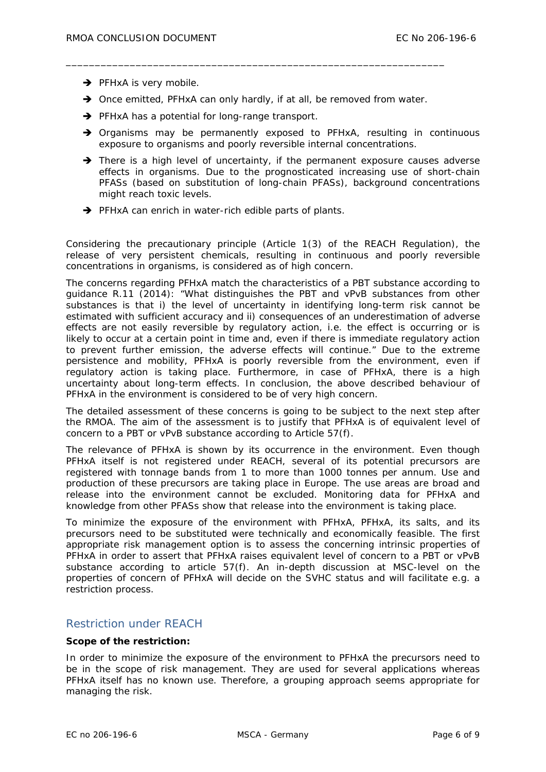- $\rightarrow$  PFHxA is very mobile.
- $\rightarrow$  Once emitted, PFHxA can only hardly, if at all, be removed from water.

\_\_\_\_\_\_\_\_\_\_\_\_\_\_\_\_\_\_\_\_\_\_\_\_\_\_\_\_\_\_\_\_\_\_\_\_\_\_\_\_\_\_\_\_\_\_\_\_\_\_\_\_\_\_\_\_\_\_\_\_\_\_\_\_\_

- $\rightarrow$  PFHxA has a potential for long-range transport.
- $\rightarrow$  Organisms may be permanently exposed to PFHxA, resulting in continuous exposure to organisms and poorly reversible internal concentrations.
- $\rightarrow$  There is a high level of uncertainty, if the permanent exposure causes adverse effects in organisms. Due to the prognosticated increasing use of short-chain PFASs (based on substitution of long-chain PFASs), background concentrations might reach toxic levels.
- $\rightarrow$  PFHxA can enrich in water-rich edible parts of plants.

Considering the precautionary principle (Article 1(3) of the REACH Regulation), the release of very persistent chemicals, resulting in continuous and poorly reversible concentrations in organisms, is considered as of high concern.

The concerns regarding PFHxA match the characteristics of a PBT substance according to guidance R.11 (2014): "What distinguishes the PBT and vPvB substances from other substances is that i) the level of uncertainty in identifying long-term risk cannot be estimated with sufficient accuracy and ii) consequences of an underestimation of adverse effects are not easily reversible by regulatory action, i.e. the effect is occurring or is likely to occur at a certain point in time and, even if there is immediate regulatory action to prevent further emission, the adverse effects will continue." Due to the extreme persistence and mobility, PFHxA is poorly reversible from the environment, even if regulatory action is taking place. Furthermore, in case of PFHxA, there is a high uncertainty about long-term effects. In conclusion, the above described behaviour of PFHxA in the environment is considered to be of very high concern.

The detailed assessment of these concerns is going to be subject to the next step after the RMOA. The aim of the assessment is to justify that PFHxA is of equivalent level of concern to a PBT or vPvB substance according to Article 57(f).

The relevance of PFHxA is shown by its occurrence in the environment. Even though PFHxA itself is not registered under REACH, several of its potential precursors are registered with tonnage bands from 1 to more than 1000 tonnes per annum. Use and production of these precursors are taking place in Europe. The use areas are broad and release into the environment cannot be excluded. Monitoring data for PFHxA and knowledge from other PFASs show that release into the environment is taking place.

To minimize the exposure of the environment with PFHxA, PFHxA, its salts, and its precursors need to be substituted were technically and economically feasible. The first appropriate risk management option is to assess the concerning intrinsic properties of PFHxA in order to assert that PFHxA raises equivalent level of concern to a PBT or vPvB substance according to article 57(f). An in-depth discussion at MSC-level on the properties of concern of PFHxA will decide on the SVHC status and will facilitate e.g. a restriction process.

### Restriction under REACH

#### **Scope of the restriction:**

In order to minimize the exposure of the environment to PFHxA the precursors need to be in the scope of risk management. They are used for several applications whereas PFHxA itself has no known use. Therefore, a grouping approach seems appropriate for managing the risk.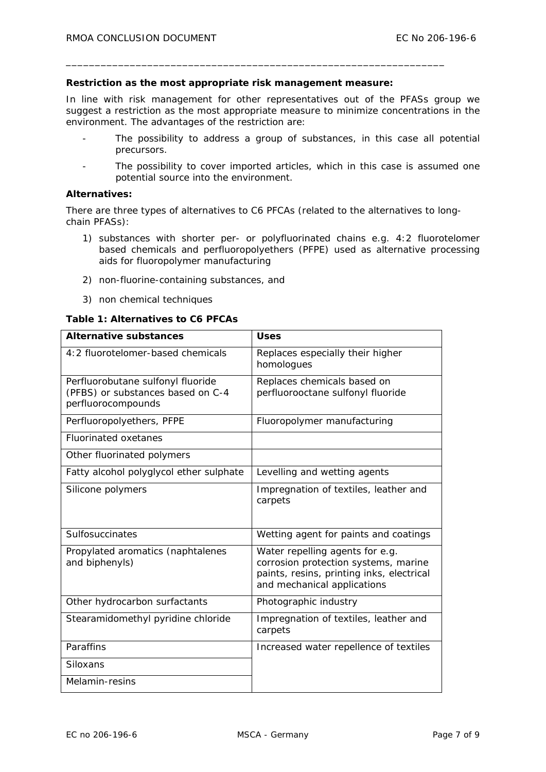#### **Restriction as the most appropriate risk management measure:**

\_\_\_\_\_\_\_\_\_\_\_\_\_\_\_\_\_\_\_\_\_\_\_\_\_\_\_\_\_\_\_\_\_\_\_\_\_\_\_\_\_\_\_\_\_\_\_\_\_\_\_\_\_\_\_\_\_\_\_\_\_\_\_\_\_

In line with risk management for other representatives out of the PFASs group we suggest a restriction as the most appropriate measure to minimize concentrations in the environment. The advantages of the restriction are:

- The possibility to address a group of substances, in this case all potential precursors.
- The possibility to cover imported articles, which in this case is assumed one potential source into the environment.

#### **Alternatives:**

There are three types of alternatives to C6 PFCAs (related to the alternatives to longchain PFASs):

- 1) substances with shorter per- or polyfluorinated chains e.g. 4:2 fluorotelomer based chemicals and perfluoropolyethers (PFPE) used as alternative processing aids for fluoropolymer manufacturing
- 2) non-fluorine-containing substances, and
- 3) non chemical techniques

#### **Table 1: Alternatives to C6 PFCAs**

| <b>Alternative substances</b>                                                                | <b>Uses</b>                                                                                                                                         |
|----------------------------------------------------------------------------------------------|-----------------------------------------------------------------------------------------------------------------------------------------------------|
| 4:2 fluorotelomer-based chemicals                                                            | Replaces especially their higher<br>homologues                                                                                                      |
| Perfluorobutane sulfonyl fluoride<br>(PFBS) or substances based on C-4<br>perfluorocompounds | Replaces chemicals based on<br>perfluorooctane sulfonyl fluoride                                                                                    |
| Perfluoropolyethers, PFPE                                                                    | Fluoropolymer manufacturing                                                                                                                         |
| <b>Fluorinated oxetanes</b>                                                                  |                                                                                                                                                     |
| Other fluorinated polymers                                                                   |                                                                                                                                                     |
| Fatty alcohol polyglycol ether sulphate                                                      | Levelling and wetting agents                                                                                                                        |
| Silicone polymers                                                                            | Impregnation of textiles, leather and<br>carpets                                                                                                    |
| Sulfosuccinates                                                                              | Wetting agent for paints and coatings                                                                                                               |
| Propylated aromatics (naphtalenes<br>and biphenyls)                                          | Water repelling agents for e.g.<br>corrosion protection systems, marine<br>paints, resins, printing inks, electrical<br>and mechanical applications |
| Other hydrocarbon surfactants                                                                | Photographic industry                                                                                                                               |
| Stearamidomethyl pyridine chloride                                                           | Impregnation of textiles, leather and<br>carpets                                                                                                    |
| Paraffins                                                                                    | Increased water repellence of textiles                                                                                                              |
| Siloxans                                                                                     |                                                                                                                                                     |
| Melamin-resins                                                                               |                                                                                                                                                     |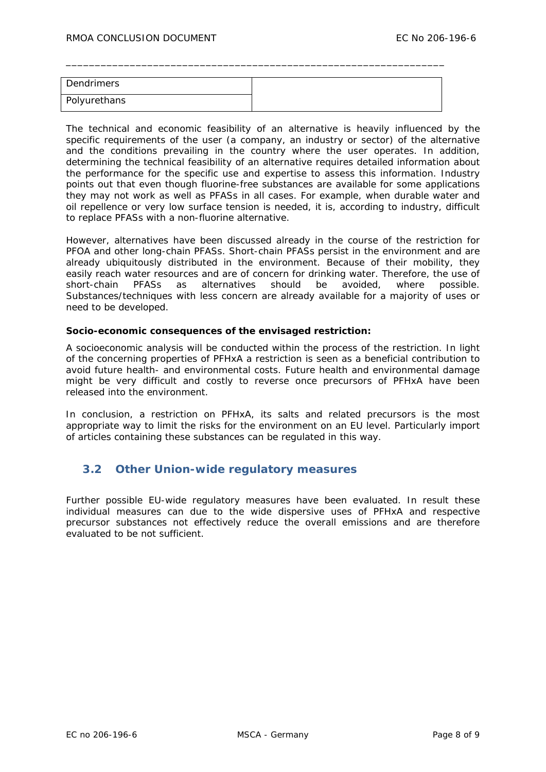| Dendrimers   |  |
|--------------|--|
| Polyurethans |  |

\_\_\_\_\_\_\_\_\_\_\_\_\_\_\_\_\_\_\_\_\_\_\_\_\_\_\_\_\_\_\_\_\_\_\_\_\_\_\_\_\_\_\_\_\_\_\_\_\_\_\_\_\_\_\_\_\_\_\_\_\_\_\_\_\_

The technical and economic feasibility of an alternative is heavily influenced by the specific requirements of the user (a company, an industry or sector) of the alternative and the conditions prevailing in the country where the user operates. In addition, determining the technical feasibility of an alternative requires detailed information about the performance for the specific use and expertise to assess this information. Industry points out that even though fluorine-free substances are available for some applications they may not work as well as PFASs in all cases. For example, when durable water and oil repellence or very low surface tension is needed, it is, according to industry, difficult to replace PFASs with a non-fluorine alternative.

However, alternatives have been discussed already in the course of the restriction for PFOA and other long-chain PFASs. Short-chain PFASs persist in the environment and are already ubiquitously distributed in the environment. Because of their mobility, they easily reach water resources and are of concern for drinking water. Therefore, the use of short-chain PFASs as alternatives should be avoided, where possible. Substances/techniques with less concern are already available for a majority of uses or need to be developed.

#### **Socio-economic consequences of the envisaged restriction:**

A socioeconomic analysis will be conducted within the process of the restriction. In light of the concerning properties of PFHxA a restriction is seen as a beneficial contribution to avoid future health- and environmental costs. Future health and environmental damage might be very difficult and costly to reverse once precursors of PFHxA have been released into the environment.

In conclusion, a restriction on PFHxA, its salts and related precursors is the most appropriate way to limit the risks for the environment on an EU level. Particularly import of articles containing these substances can be regulated in this way.

#### **3.2 Other Union-wide regulatory measures**

Further possible EU-wide regulatory measures have been evaluated. In result these individual measures can due to the wide dispersive uses of PFHxA and respective precursor substances not effectively reduce the overall emissions and are therefore evaluated to be not sufficient.